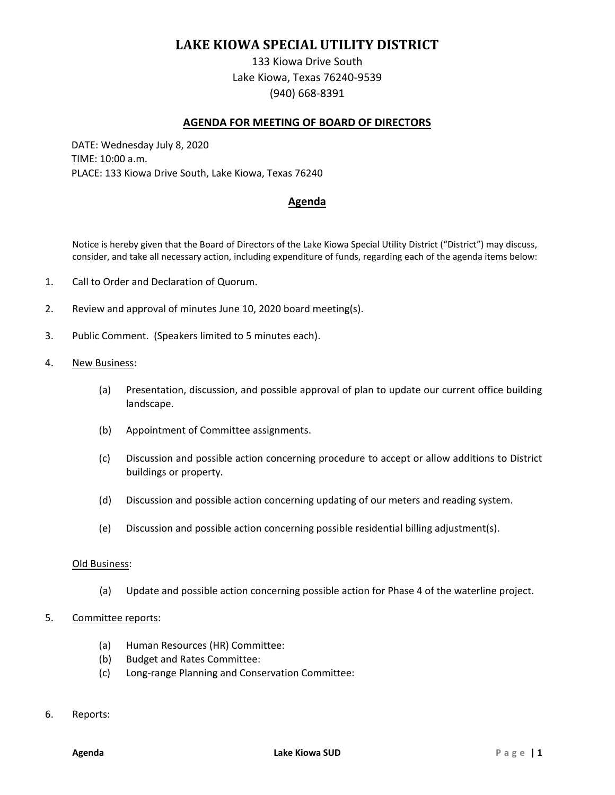# **LAKE KIOWA SPECIAL UTILITY DISTRICT**

133 Kiowa Drive South Lake Kiowa, Texas 76240-9539 (940) 668-8391

### **AGENDA FOR MEETING OF BOARD OF DIRECTORS**

DATE: Wednesday July 8, 2020 TIME: 10:00 a.m. PLACE: 133 Kiowa Drive South, Lake Kiowa, Texas 76240

## **Agenda**

Notice is hereby given that the Board of Directors of the Lake Kiowa Special Utility District ("District") may discuss, consider, and take all necessary action, including expenditure of funds, regarding each of the agenda items below:

- 1. Call to Order and Declaration of Quorum.
- 2. Review and approval of minutes June 10, 2020 board meeting(s).
- 3. Public Comment. (Speakers limited to 5 minutes each).
- 4. New Business:
	- (a) Presentation, discussion, and possible approval of plan to update our current office building landscape.
	- (b) Appointment of Committee assignments.
	- (c) Discussion and possible action concerning procedure to accept or allow additions to District buildings or property.
	- (d) Discussion and possible action concerning updating of our meters and reading system.
	- (e) Discussion and possible action concerning possible residential billing adjustment(s).

#### Old Business:

(a) Update and possible action concerning possible action for Phase 4 of the waterline project.

## 5. Committee reports:

- (a) Human Resources (HR) Committee:
- (b) Budget and Rates Committee:
- (c) Long-range Planning and Conservation Committee:
- 6. Reports: